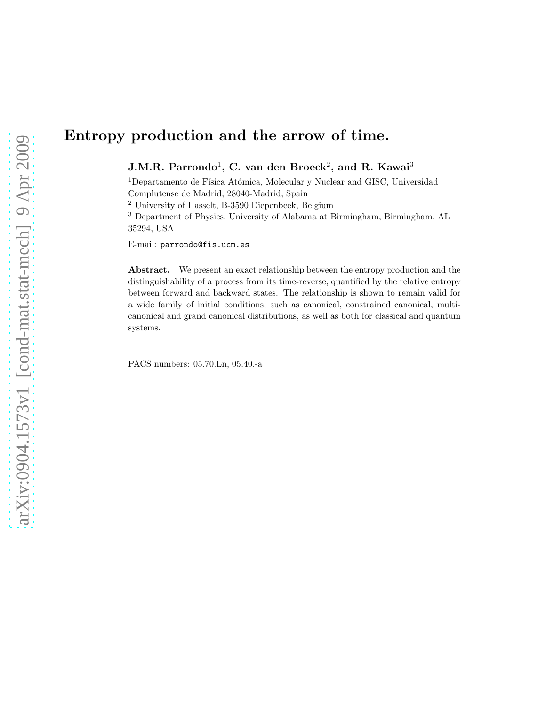# Entropy production and the arrow of time.

J.M.R. Parrondo $^1$ , C. van den Broeck $^2$ , and R. Kawai $^3$ 

<sup>1</sup>Departamento de Física Atómica, Molecular y Nuclear and GISC, Universidad Complutense de Madrid, 28040-Madrid, Spain

<sup>2</sup> University of Hasselt, B-3590 Diepenbeek, Belgium

<sup>3</sup> Department of Physics, University of Alabama at Birmingham, Birmingham, AL 35294, USA

E-mail: parrondo@fis.ucm.es

Abstract. We present an exact relationship between the entropy production and the distinguishability of a process from its time-reverse, quantified by the relative entropy between forward and backward states. The relationship is shown to remain valid for a wide family of initial conditions, such as canonical, constrained canonical, multicanonical and grand canonical distributions, as well as both for classical and quantum systems.

PACS numbers: 05.70.Ln, 05.40.-a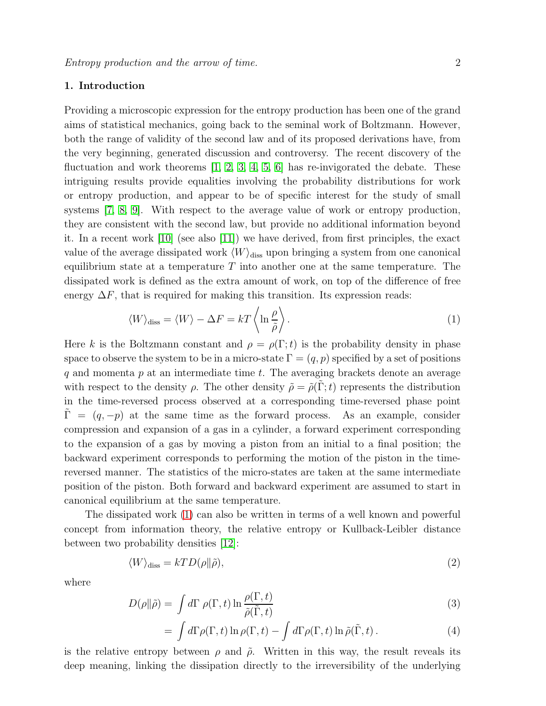# 1. Introduction

Providing a microscopic expression for the entropy production has been one of the grand aims of statistical mechanics, going back to the seminal work of Boltzmann. However, both the range of validity of the second law and of its proposed derivations have, from the very beginning, generated discussion and controversy. The recent discovery of the fluctuation and work theorems [\[1,](#page-13-0) [2,](#page-13-1) [3,](#page-13-2) [4,](#page-13-3) [5,](#page-13-4) [6\]](#page-13-5) has re-invigorated the debate. These intriguing results provide equalities involving the probability distributions for work or entropy production, and appear to be of specific interest for the study of small systems [\[7,](#page-13-6) [8,](#page-13-7) [9\]](#page-13-8). With respect to the average value of work or entropy production, they are consistent with the second law, but provide no additional information beyond it. In a recent work [\[10\]](#page-13-9) (see also [\[11\]](#page-13-10)) we have derived, from first principles, the exact value of the average dissipated work  $\langle W \rangle_{\text{diss}}$  upon bringing a system from one canonical equilibrium state at a temperature  $T$  into another one at the same temperature. The dissipated work is defined as the extra amount of work, on top of the difference of free energy  $\Delta F$ , that is required for making this transition. Its expression reads:

<span id="page-1-0"></span>
$$
\langle W \rangle_{\text{diss}} = \langle W \rangle - \Delta F = kT \left\langle \ln \frac{\rho}{\tilde{\rho}} \right\rangle. \tag{1}
$$

Here k is the Boltzmann constant and  $\rho = \rho(\Gamma; t)$  is the probability density in phase space to observe the system to be in a micro-state  $\Gamma = (q, p)$  specified by a set of positions q and momenta  $p$  at an intermediate time  $t$ . The averaging brackets denote an average with respect to the density  $\rho$ . The other density  $\tilde{\rho} = \tilde{\rho}(\Gamma; t)$  represents the distribution in the time-reversed process observed at a corresponding time-reversed phase point  $\Gamma = (q, -p)$  at the same time as the forward process. As an example, consider compression and expansion of a gas in a cylinder, a forward experiment corresponding to the expansion of a gas by moving a piston from an initial to a final position; the backward experiment corresponds to performing the motion of the piston in the timereversed manner. The statistics of the micro-states are taken at the same intermediate position of the piston. Both forward and backward experiment are assumed to start in canonical equilibrium at the same temperature.

The dissipated work [\(1\)](#page-1-0) can also be written in terms of a well known and powerful concept from information theory, the relative entropy or Kullback-Leibler distance between two probability densities [\[12\]](#page-13-11):

$$
\langle W \rangle_{\text{diss}} = kTD(\rho \| \tilde{\rho}),\tag{2}
$$

where

<span id="page-1-1"></span>
$$
D(\rho \| \tilde{\rho}) = \int d\Gamma \, \rho(\Gamma, t) \ln \frac{\rho(\Gamma, t)}{\tilde{\rho}(\tilde{\Gamma}, t)} \tag{3}
$$

$$
= \int d\Gamma \rho(\Gamma, t) \ln \rho(\Gamma, t) - \int d\Gamma \rho(\Gamma, t) \ln \tilde{\rho}(\tilde{\Gamma}, t) . \tag{4}
$$

is the relative entropy between  $\rho$  and  $\tilde{\rho}$ . Written in this way, the result reveals its deep meaning, linking the dissipation directly to the irreversibility of the underlying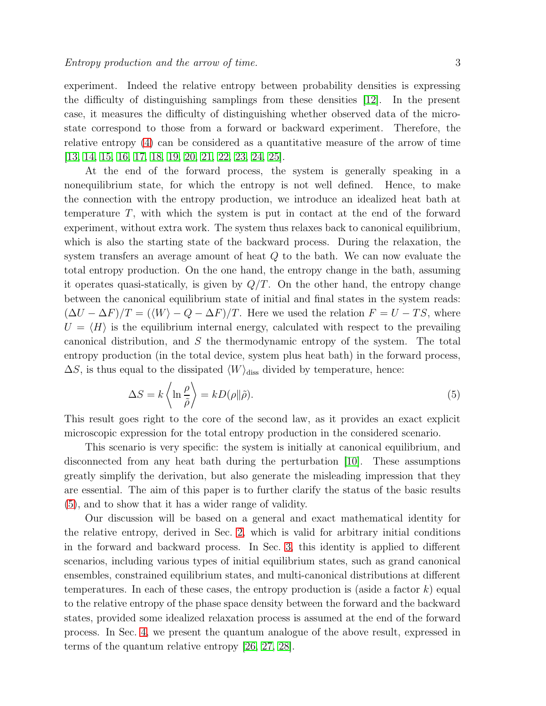experiment. Indeed the relative entropy between probability densities is expressing the difficulty of distinguishing samplings from these densities [\[12\]](#page-13-11). In the present case, it measures the difficulty of distinguishing whether observed data of the microstate correspond to those from a forward or backward experiment. Therefore, the relative entropy [\(4\)](#page-1-1) can be considered as a quantitative measure of the arrow of time [\[13,](#page-13-12) [14,](#page-13-13) [15,](#page-13-14) [16,](#page-13-15) [17,](#page-13-16) [18,](#page-13-17) [19,](#page-14-0) [20,](#page-14-1) [21,](#page-14-2) [22,](#page-14-3) [23,](#page-14-4) [24,](#page-14-5) [25\]](#page-14-6).

At the end of the forward process, the system is generally speaking in a nonequilibrium state, for which the entropy is not well defined. Hence, to make the connection with the entropy production, we introduce an idealized heat bath at temperature T, with which the system is put in contact at the end of the forward experiment, without extra work. The system thus relaxes back to canonical equilibrium, which is also the starting state of the backward process. During the relaxation, the system transfers an average amount of heat Q to the bath. We can now evaluate the total entropy production. On the one hand, the entropy change in the bath, assuming it operates quasi-statically, is given by  $Q/T$ . On the other hand, the entropy change between the canonical equilibrium state of initial and final states in the system reads:  $(\Delta U - \Delta F)/T = (\langle W \rangle - Q - \Delta F)/T$ . Here we used the relation  $F = U - TS$ , where  $U = \langle H \rangle$  is the equilibrium internal energy, calculated with respect to the prevailing canonical distribution, and S the thermodynamic entropy of the system. The total entropy production (in the total device, system plus heat bath) in the forward process,  $\Delta S$ , is thus equal to the dissipated  $\langle W \rangle_{\text{diss}}$  divided by temperature, hence:

<span id="page-2-0"></span>
$$
\Delta S = k \left\langle \ln \frac{\rho}{\tilde{\rho}} \right\rangle = k D(\rho \| \tilde{\rho}). \tag{5}
$$

This result goes right to the core of the second law, as it provides an exact explicit microscopic expression for the total entropy production in the considered scenario.

This scenario is very specific: the system is initially at canonical equilibrium, and disconnected from any heat bath during the perturbation [\[10\]](#page-13-9). These assumptions greatly simplify the derivation, but also generate the misleading impression that they are essential. The aim of this paper is to further clarify the status of the basic results [\(5\)](#page-2-0), and to show that it has a wider range of validity.

Our discussion will be based on a general and exact mathematical identity for the relative entropy, derived in Sec. [2,](#page-3-0) which is valid for arbitrary initial conditions in the forward and backward process. In Sec. [3,](#page-4-0) this identity is applied to different scenarios, including various types of initial equilibrium states, such as grand canonical ensembles, constrained equilibrium states, and multi-canonical distributions at different temperatures. In each of these cases, the entropy production is (aside a factor  $k$ ) equal to the relative entropy of the phase space density between the forward and the backward states, provided some idealized relaxation process is assumed at the end of the forward process. In Sec. [4,](#page-10-0) we present the quantum analogue of the above result, expressed in terms of the quantum relative entropy [\[26,](#page-14-7) [27,](#page-14-8) [28\]](#page-14-9).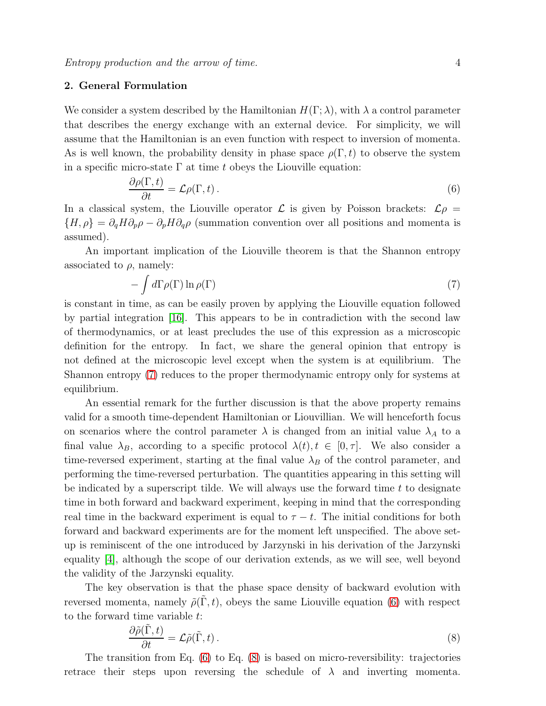# <span id="page-3-0"></span>2. General Formulation

We consider a system described by the Hamiltonian  $H(\Gamma;\lambda)$ , with  $\lambda$  a control parameter that describes the energy exchange with an external device. For simplicity, we will assume that the Hamiltonian is an even function with respect to inversion of momenta. As is well known, the probability density in phase space  $\rho(\Gamma, t)$  to observe the system in a specific micro-state  $\Gamma$  at time t obeys the Liouville equation:

<span id="page-3-2"></span>
$$
\frac{\partial \rho(\Gamma, t)}{\partial t} = \mathcal{L}\rho(\Gamma, t). \tag{6}
$$

In a classical system, the Liouville operator  $\mathcal L$  is given by Poisson brackets:  $\mathcal L \rho =$  ${H, \rho} = \partial_q H \partial_p \rho - \partial_p H \partial_q \rho$  (summation convention over all positions and momenta is assumed).

An important implication of the Liouville theorem is that the Shannon entropy associated to  $\rho$ , namely:

<span id="page-3-1"></span>
$$
-\int d\Gamma \rho(\Gamma) \ln \rho(\Gamma) \tag{7}
$$

is constant in time, as can be easily proven by applying the Liouville equation followed by partial integration [\[16\]](#page-13-15). This appears to be in contradiction with the second law of thermodynamics, or at least precludes the use of this expression as a microscopic definition for the entropy. In fact, we share the general opinion that entropy is not defined at the microscopic level except when the system is at equilibrium. The Shannon entropy [\(7\)](#page-3-1) reduces to the proper thermodynamic entropy only for systems at equilibrium.

An essential remark for the further discussion is that the above property remains valid for a smooth time-dependent Hamiltonian or Liouvillian. We will henceforth focus on scenarios where the control parameter  $\lambda$  is changed from an initial value  $\lambda_A$  to a final value  $\lambda_B$ , according to a specific protocol  $\lambda(t)$ ,  $t \in [0, \tau]$ . We also consider a time-reversed experiment, starting at the final value  $\lambda_B$  of the control parameter, and performing the time-reversed perturbation. The quantities appearing in this setting will be indicated by a superscript tilde. We will always use the forward time  $t$  to designate time in both forward and backward experiment, keeping in mind that the corresponding real time in the backward experiment is equal to  $\tau - t$ . The initial conditions for both forward and backward experiments are for the moment left unspecified. The above setup is reminiscent of the one introduced by Jarzynski in his derivation of the Jarzynski equality [\[4\]](#page-13-3), although the scope of our derivation extends, as we will see, well beyond the validity of the Jarzynski equality.

The key observation is that the phase space density of backward evolution with reversed momenta, namely  $\tilde{\rho}(\Gamma, t)$ , obeys the same Liouville equation [\(6\)](#page-3-2) with respect to the forward time variable t:

<span id="page-3-3"></span>
$$
\frac{\partial \tilde{\rho}(\tilde{\Gamma},t)}{\partial t} = \mathcal{L}\tilde{\rho}(\tilde{\Gamma},t). \tag{8}
$$

The transition from Eq. [\(6\)](#page-3-2) to Eq. [\(8\)](#page-3-3) is based on micro-reversibility: trajectories retrace their steps upon reversing the schedule of  $\lambda$  and inverting momenta.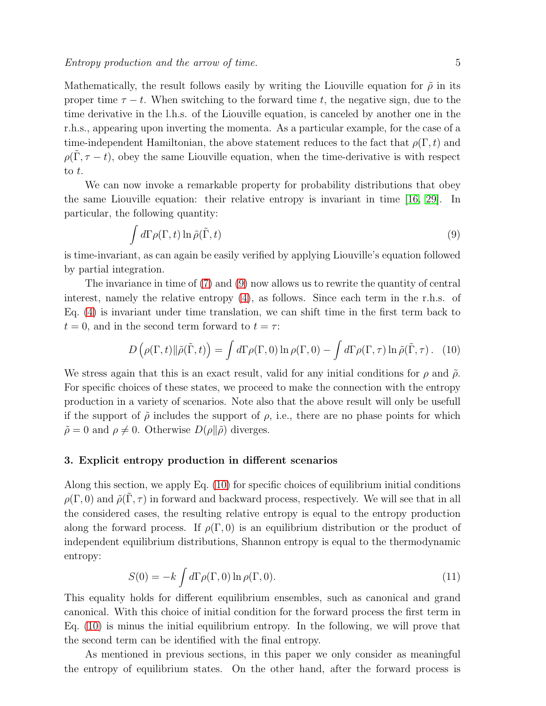Mathematically, the result follows easily by writing the Liouville equation for  $\tilde{\rho}$  in its proper time  $\tau - t$ . When switching to the forward time t, the negative sign, due to the time derivative in the l.h.s. of the Liouville equation, is canceled by another one in the r.h.s., appearing upon inverting the momenta. As a particular example, for the case of a time-independent Hamiltonian, the above statement reduces to the fact that  $\rho(\Gamma, t)$  and  $\rho(\Gamma, \tau - t)$ , obey the same Liouville equation, when the time-derivative is with respect to t.

We can now invoke a remarkable property for probability distributions that obey the same Liouville equation: their relative entropy is invariant in time [\[16,](#page-13-15) [29\]](#page-14-10). In particular, the following quantity:

<span id="page-4-1"></span>
$$
\int d\Gamma \rho(\Gamma, t) \ln \tilde{\rho}(\tilde{\Gamma}, t) \tag{9}
$$

is time-invariant, as can again be easily verified by applying Liouville's equation followed by partial integration.

The invariance in time of [\(7\)](#page-3-1) and [\(9\)](#page-4-1) now allows us to rewrite the quantity of central interest, namely the relative entropy [\(4\)](#page-1-1), as follows. Since each term in the r.h.s. of Eq. [\(4\)](#page-1-1) is invariant under time translation, we can shift time in the first term back to  $t = 0$ , and in the second term forward to  $t = \tau$ :

<span id="page-4-2"></span>
$$
D\left(\rho(\Gamma,t)\|\tilde{\rho}(\tilde{\Gamma},t)\right) = \int d\Gamma \rho(\Gamma,0) \ln \rho(\Gamma,0) - \int d\Gamma \rho(\Gamma,\tau) \ln \tilde{\rho}(\tilde{\Gamma},\tau). \tag{10}
$$

We stress again that this is an exact result, valid for any initial conditions for  $\rho$  and  $\tilde{\rho}$ . For specific choices of these states, we proceed to make the connection with the entropy production in a variety of scenarios. Note also that the above result will only be usefull if the support of  $\tilde{\rho}$  includes the support of  $\rho$ , i.e., there are no phase points for which  $\tilde{\rho} = 0$  and  $\rho \neq 0$ . Otherwise  $D(\rho || \tilde{\rho})$  diverges.

# <span id="page-4-0"></span>3. Explicit entropy production in different scenarios

Along this section, we apply Eq. [\(10\)](#page-4-2) for specific choices of equilibrium initial conditions  $\rho(\Gamma, 0)$  and  $\tilde{\rho}(\Gamma, \tau)$  in forward and backward process, respectively. We will see that in all the considered cases, the resulting relative entropy is equal to the entropy production along the forward process. If  $\rho(\Gamma, 0)$  is an equilibrium distribution or the product of independent equilibrium distributions, Shannon entropy is equal to the thermodynamic entropy:

<span id="page-4-3"></span>
$$
S(0) = -k \int d\Gamma \rho(\Gamma, 0) \ln \rho(\Gamma, 0). \tag{11}
$$

This equality holds for different equilibrium ensembles, such as canonical and grand canonical. With this choice of initial condition for the forward process the first term in Eq. [\(10\)](#page-4-2) is minus the initial equilibrium entropy. In the following, we will prove that the second term can be identified with the final entropy.

As mentioned in previous sections, in this paper we only consider as meaningful the entropy of equilibrium states. On the other hand, after the forward process is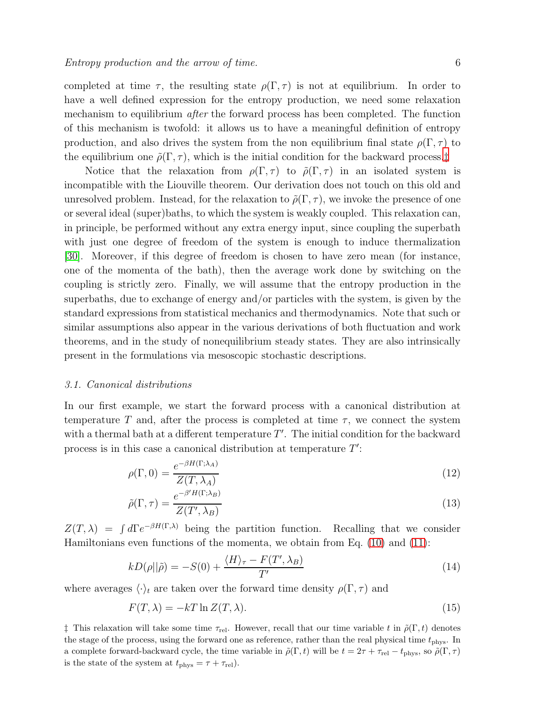completed at time  $\tau$ , the resulting state  $\rho(\Gamma,\tau)$  is not at equilibrium. In order to have a well defined expression for the entropy production, we need some relaxation mechanism to equilibrium after the forward process has been completed. The function of this mechanism is twofold: it allows us to have a meaningful definition of entropy production, and also drives the system from the non equilibrium final state  $\rho(\Gamma, \tau)$  to the equilibrium one  $\tilde{\rho}(\Gamma, \tau)$ , which is the initial condition for the backward process.<sup>†</sup>

Notice that the relaxation from  $\rho(\Gamma, \tau)$  to  $\tilde{\rho}(\Gamma, \tau)$  in an isolated system is incompatible with the Liouville theorem. Our derivation does not touch on this old and unresolved problem. Instead, for the relaxation to  $\tilde{\rho}(\Gamma,\tau)$ , we invoke the presence of one or several ideal (super)baths, to which the system is weakly coupled. This relaxation can, in principle, be performed without any extra energy input, since coupling the superbath with just one degree of freedom of the system is enough to induce thermalization [\[30\]](#page-14-11). Moreover, if this degree of freedom is chosen to have zero mean (for instance, one of the momenta of the bath), then the average work done by switching on the coupling is strictly zero. Finally, we will assume that the entropy production in the superbaths, due to exchange of energy and/or particles with the system, is given by the standard expressions from statistical mechanics and thermodynamics. Note that such or similar assumptions also appear in the various derivations of both fluctuation and work theorems, and in the study of nonequilibrium steady states. They are also intrinsically present in the formulations via mesoscopic stochastic descriptions.

## 3.1. Canonical distributions

In our first example, we start the forward process with a canonical distribution at temperature T and, after the process is completed at time  $\tau$ , we connect the system with a thermal bath at a different temperature  $T'$ . The initial condition for the backward process is in this case a canonical distribution at temperature  $T'$ :

$$
\rho(\Gamma, 0) = \frac{e^{-\beta H(\Gamma; \lambda_A)}}{Z(T, \lambda_A)}
$$
\n(12)

$$
\tilde{\rho}(\Gamma,\tau) = \frac{e^{-\beta'H(\Gamma;\lambda_B)}}{Z(T',\lambda_B)}
$$
\n(13)

 $Z(T,\lambda) = \int d\Gamma e^{-\beta H(\Gamma,\lambda)}$  being the partition function. Recalling that we consider Hamiltonians even functions of the momenta, we obtain from Eq. [\(10\)](#page-4-2) and [\(11\)](#page-4-3):

$$
kD(\rho||\tilde{\rho}) = -S(0) + \frac{\langle H \rangle_{\tau} - F(T', \lambda_B)}{T'} \tag{14}
$$

where averages  $\langle \cdot \rangle_t$  are taken over the forward time density  $\rho(\Gamma, \tau)$  and

$$
F(T,\lambda) = -kT \ln Z(T,\lambda). \tag{15}
$$

<span id="page-5-0"></span><sup>†</sup> This relaxation will take some time  $\tau_{rel}$ . However, recall that our time variable t in  $\tilde{\rho}(\Gamma, t)$  denotes the stage of the process, using the forward one as reference, rather than the real physical time  $t_{\rm phys}$ . In a complete forward-backward cycle, the time variable in  $\tilde{\rho}(\Gamma,t)$  will be  $t = 2\tau + \tau_{rel} - t_{phys}$ , so  $\tilde{\rho}(\Gamma,\tau)$ is the state of the system at  $t_{\text{phys}} = \tau + \tau_{\text{rel}}$ .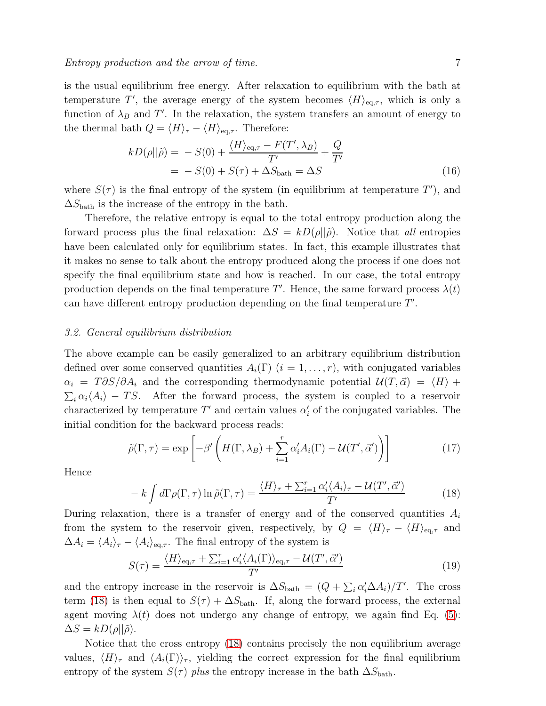is the usual equilibrium free energy. After relaxation to equilibrium with the bath at temperature T', the average energy of the system becomes  $\langle H \rangle_{\text{eq},\tau}$ , which is only a function of  $\lambda_B$  and T'. In the relaxation, the system transfers an amount of energy to the thermal bath  $Q = \langle H \rangle_{\tau} - \langle H \rangle_{\text{eq},\tau}$ . Therefore:

$$
kD(\rho||\tilde{\rho}) = -S(0) + \frac{\langle H \rangle_{\text{eq},\tau} - F(T', \lambda_B)}{T'} + \frac{Q}{T'}
$$
  
= -S(0) + S(\tau) + \Delta S\_{\text{bath}} = \Delta S (16)

where  $S(\tau)$  is the final entropy of the system (in equilibrium at temperature T'), and  $\Delta S_{\text{bath}}$  is the increase of the entropy in the bath.

Therefore, the relative entropy is equal to the total entropy production along the forward process plus the final relaxation:  $\Delta S = kD(\rho||\tilde{\rho})$ . Notice that all entropies have been calculated only for equilibrium states. In fact, this example illustrates that it makes no sense to talk about the entropy produced along the process if one does not specify the final equilibrium state and how is reached. In our case, the total entropy production depends on the final temperature T'. Hence, the same forward process  $\lambda(t)$ can have different entropy production depending on the final temperature  $T'$ .

## 3.2. General equilibrium distribution

The above example can be easily generalized to an arbitrary equilibrium distribution defined over some conserved quantities  $A_i(\Gamma)$   $(i = 1, \ldots, r)$ , with conjugated variables  $\alpha_i = T \partial S/\partial A_i$  and the corresponding thermodynamic potential  $\mathcal{U}(T, \vec{\alpha}) = \langle H \rangle +$  $\sum_i \alpha_i \langle A_i \rangle - TS$ . After the forward process, the system is coupled to a reservoir characterized by temperature  $T'$  and certain values  $\alpha'_{i}$  of the conjugated variables. The initial condition for the backward process reads:

$$
\tilde{\rho}(\Gamma,\tau) = \exp\left[-\beta'\left(H(\Gamma,\lambda_B) + \sum_{i=1}^r \alpha_i'A_i(\Gamma) - \mathcal{U}(T',\vec{\alpha}')\right)\right]
$$
\n(17)

Hence

<span id="page-6-0"></span>
$$
- k \int d\Gamma \rho(\Gamma, \tau) \ln \tilde{\rho}(\Gamma, \tau) = \frac{\langle H \rangle_{\tau} + \sum_{i=1}^{r} \alpha_i' \langle A_i \rangle_{\tau} - \mathcal{U}(T', \vec{\alpha}')}{T'} \tag{18}
$$

During relaxation, there is a transfer of energy and of the conserved quantities  $A_i$ from the system to the reservoir given, respectively, by  $Q = \langle H \rangle_{\tau} - \langle H \rangle_{\text{eq},\tau}$  and  $\Delta A_i = \langle A_i \rangle_\tau - \langle A_i \rangle_{\text{eq},\tau}$ . The final entropy of the system is

$$
S(\tau) = \frac{\langle H \rangle_{\text{eq},\tau} + \sum_{i=1}^{r} \alpha_i' \langle A_i(\Gamma) \rangle_{\text{eq},\tau} - \mathcal{U}(T', \vec{\alpha}')}{T'}
$$
(19)

and the entropy increase in the reservoir is  $\Delta S_{\text{bath}} = (Q + \sum_i \alpha_i' \Delta A_i)/T'$ . The cross term [\(18\)](#page-6-0) is then equal to  $S(\tau) + \Delta S_{\text{bath}}$ . If, along the forward process, the external agent moving  $\lambda(t)$  does not undergo any change of entropy, we again find Eq. [\(5\)](#page-2-0):  $\Delta S = k D(\rho || \tilde{\rho}).$ 

Notice that the cross entropy [\(18\)](#page-6-0) contains precisely the non equilibrium average values,  $\langle H \rangle_{\tau}$  and  $\langle A_i(\Gamma) \rangle_{\tau}$ , yielding the correct expression for the final equilibrium entropy of the system  $S(\tau)$  plus the entropy increase in the bath  $\Delta S_{\text{bath}}$ .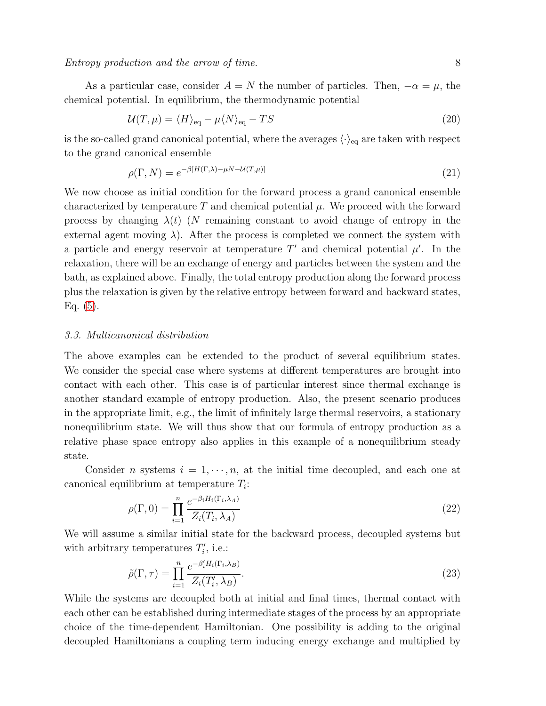Entropy production and the arrow of time. 8

$$
\mathcal{U}(T,\mu) = \langle H \rangle_{\text{eq}} - \mu \langle N \rangle_{\text{eq}} - TS \tag{20}
$$

is the so-called grand canonical potential, where the averages  $\langle \cdot \rangle_{\text{eq}}$  are taken with respect to the grand canonical ensemble

$$
\rho(\Gamma, N) = e^{-\beta [H(\Gamma, \lambda) - \mu N - \mathcal{U}(T, \mu)]} \tag{21}
$$

We now choose as initial condition for the forward process a grand canonical ensemble characterized by temperature T and chemical potential  $\mu$ . We proceed with the forward process by changing  $\lambda(t)$  (N remaining constant to avoid change of entropy in the external agent moving  $\lambda$ ). After the process is completed we connect the system with a particle and energy reservoir at temperature  $T'$  and chemical potential  $\mu'$ . In the relaxation, there will be an exchange of energy and particles between the system and the bath, as explained above. Finally, the total entropy production along the forward process plus the relaxation is given by the relative entropy between forward and backward states, Eq. [\(5\)](#page-2-0).

# 3.3. Multicanonical distribution

The above examples can be extended to the product of several equilibrium states. We consider the special case where systems at different temperatures are brought into contact with each other. This case is of particular interest since thermal exchange is another standard example of entropy production. Also, the present scenario produces in the appropriate limit, e.g., the limit of infinitely large thermal reservoirs, a stationary nonequilibrium state. We will thus show that our formula of entropy production as a relative phase space entropy also applies in this example of a nonequilibrium steady state.

Consider n systems  $i = 1, \dots, n$ , at the initial time decoupled, and each one at canonical equilibrium at temperature  $T_i$ :

$$
\rho(\Gamma, 0) = \prod_{i=1}^{n} \frac{e^{-\beta_i H_i(\Gamma_i, \lambda_A)}}{Z_i(T_i, \lambda_A)}
$$
\n(22)

We will assume a similar initial state for the backward process, decoupled systems but with arbitrary temperatures  $T_i'$ , i.e.:

$$
\tilde{\rho}(\Gamma,\tau) = \prod_{i=1}^{n} \frac{e^{-\beta_i^{\prime} H_i(\Gamma_i,\lambda_B)}}{Z_i(T_i^{\prime},\lambda_B)}.
$$
\n(23)

While the systems are decoupled both at initial and final times, thermal contact with each other can be established during intermediate stages of the process by an appropriate choice of the time-dependent Hamiltonian. One possibility is adding to the original decoupled Hamiltonians a coupling term inducing energy exchange and multiplied by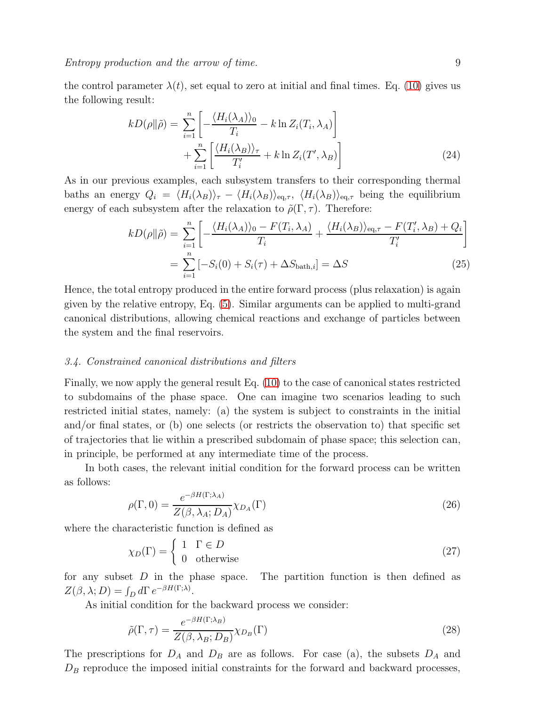the control parameter  $\lambda(t)$ , set equal to zero at initial and final times. Eq. [\(10\)](#page-4-2) gives us the following result:

$$
kD(\rho||\tilde{\rho}) = \sum_{i=1}^{n} \left[ -\frac{\langle H_i(\lambda_A) \rangle_0}{T_i} - k \ln Z_i(T_i, \lambda_A) \right] + \sum_{i=1}^{n} \left[ \frac{\langle H_i(\lambda_B) \rangle_\tau}{T'_i} + k \ln Z_i(T', \lambda_B) \right]
$$
(24)

As in our previous examples, each subsystem transfers to their corresponding thermal baths an energy  $Q_i = \langle H_i(\lambda_B) \rangle_{\tau} - \langle H_i(\lambda_B) \rangle_{\text{eq},\tau}$ ,  $\langle H_i(\lambda_B) \rangle_{\text{eq},\tau}$  being the equilibrium energy of each subsystem after the relaxation to  $\tilde{\rho}(\Gamma, \tau)$ . Therefore:

$$
kD(\rho||\tilde{\rho}) = \sum_{i=1}^{n} \left[ -\frac{\langle H_i(\lambda_A) \rangle_0 - F(T_i, \lambda_A)}{T_i} + \frac{\langle H_i(\lambda_B) \rangle_{\text{eq}, \tau} - F(T_i', \lambda_B) + Q_i}{T_i'} \right]
$$
  
= 
$$
\sum_{i=1}^{n} \left[ -S_i(0) + S_i(\tau) + \Delta S_{\text{bath}, i} \right] = \Delta S
$$
 (25)

Hence, the total entropy produced in the entire forward process (plus relaxation) is again given by the relative entropy, Eq. [\(5\)](#page-2-0). Similar arguments can be applied to multi-grand canonical distributions, allowing chemical reactions and exchange of particles between the system and the final reservoirs.

#### 3.4. Constrained canonical distributions and filters

Finally, we now apply the general result Eq. [\(10\)](#page-4-2) to the case of canonical states restricted to subdomains of the phase space. One can imagine two scenarios leading to such restricted initial states, namely: (a) the system is subject to constraints in the initial and/or final states, or (b) one selects (or restricts the observation to) that specific set of trajectories that lie within a prescribed subdomain of phase space; this selection can, in principle, be performed at any intermediate time of the process.

In both cases, the relevant initial condition for the forward process can be written as follows:

$$
\rho(\Gamma, 0) = \frac{e^{-\beta H(\Gamma; \lambda_A)}}{Z(\beta, \lambda_A; D_A)} \chi_{D_A}(\Gamma)
$$
\n(26)

where the characteristic function is defined as

$$
\chi_D(\Gamma) = \begin{cases} 1 & \Gamma \in D \\ 0 & \text{otherwise} \end{cases}
$$
 (27)

for any subset  $D$  in the phase space. The partition function is then defined as  $Z(\beta, \lambda; D) = \int_D d\Gamma \, e^{-\beta H(\Gamma; \lambda)}.$ 

As initial condition for the backward process we consider:

$$
\tilde{\rho}(\Gamma,\tau) = \frac{e^{-\beta H(\Gamma;\lambda_B)}}{Z(\beta,\lambda_B;D_B)} \chi_{D_B}(\Gamma) \tag{28}
$$

The prescriptions for  $D_A$  and  $D_B$  are as follows. For case (a), the subsets  $D_A$  and  $D_B$  reproduce the imposed initial constraints for the forward and backward processes,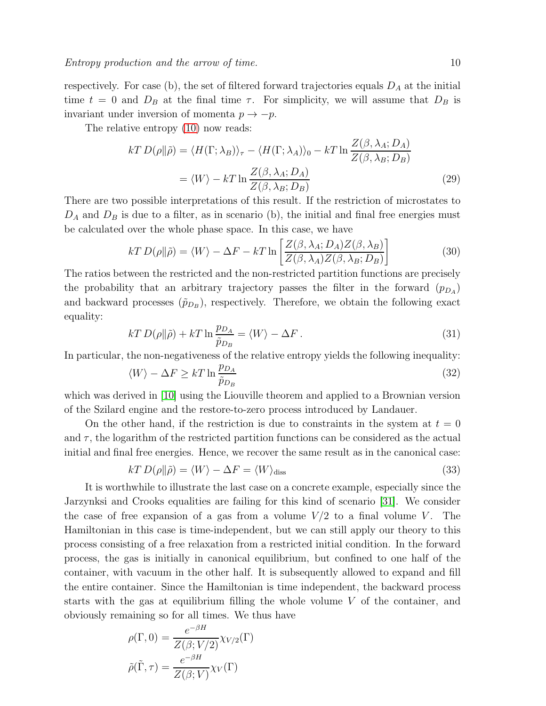respectively. For case (b), the set of filtered forward trajectories equals  $D_A$  at the initial time  $t = 0$  and  $D_B$  at the final time  $\tau$ . For simplicity, we will assume that  $D_B$  is invariant under inversion of momenta  $p \to -p$ .

The relative entropy  $(10)$  now reads:

$$
kT D(\rho || \tilde{\rho}) = \langle H(\Gamma; \lambda_B) \rangle_{\tau} - \langle H(\Gamma; \lambda_A) \rangle_0 - kT \ln \frac{Z(\beta, \lambda_A; D_A)}{Z(\beta, \lambda_B; D_B)}
$$
  
=  $\langle W \rangle - kT \ln \frac{Z(\beta, \lambda_A; D_A)}{Z(\beta, \lambda_B; D_B)}$  (29)

There are two possible interpretations of this result. If the restriction of microstates to  $D_A$  and  $D_B$  is due to a filter, as in scenario (b), the initial and final free energies must be calculated over the whole phase space. In this case, we have

$$
kT D(\rho || \tilde{\rho}) = \langle W \rangle - \Delta F - kT \ln \left[ \frac{Z(\beta, \lambda_A; D_A) Z(\beta, \lambda_B)}{Z(\beta, \lambda_A) Z(\beta, \lambda_B; D_B)} \right]
$$
(30)

The ratios between the restricted and the non-restricted partition functions are precisely the probability that an arbitrary trajectory passes the filter in the forward  $(p_{D_A})$ and backward processes  $(\tilde{p}_{D_B})$ , respectively. Therefore, we obtain the following exact equality:

$$
kT D(\rho || \tilde{\rho}) + kT \ln \frac{p_{D_A}}{\tilde{p}_{D_B}} = \langle W \rangle - \Delta F. \tag{31}
$$

In particular, the non-negativeness of the relative entropy yields the following inequality:

$$
\langle W \rangle - \Delta F \ge kT \ln \frac{p_{DA}}{\tilde{p}_{D_B}} \tag{32}
$$

which was derived in [\[10\]](#page-13-9) using the Liouville theorem and applied to a Brownian version of the Szilard engine and the restore-to-zero process introduced by Landauer.

On the other hand, if the restriction is due to constraints in the system at  $t = 0$ and  $\tau$ , the logarithm of the restricted partition functions can be considered as the actual initial and final free energies. Hence, we recover the same result as in the canonical case:

$$
kT D(\rho || \tilde{\rho}) = \langle W \rangle - \Delta F = \langle W \rangle_{\text{diss}} \tag{33}
$$

It is worthwhile to illustrate the last case on a concrete example, especially since the Jarzynksi and Crooks equalities are failing for this kind of scenario [\[31\]](#page-14-12). We consider the case of free expansion of a gas from a volume  $V/2$  to a final volume V. The Hamiltonian in this case is time-independent, but we can still apply our theory to this process consisting of a free relaxation from a restricted initial condition. In the forward process, the gas is initially in canonical equilibrium, but confined to one half of the container, with vacuum in the other half. It is subsequently allowed to expand and fill the entire container. Since the Hamiltonian is time independent, the backward process starts with the gas at equilibrium filling the whole volume  $V$  of the container, and obviously remaining so for all times. We thus have

$$
\rho(\Gamma, 0) = \frac{e^{-\beta H}}{Z(\beta; V/2)} \chi_{V/2}(\Gamma)
$$

$$
\tilde{\rho}(\tilde{\Gamma}, \tau) = \frac{e^{-\beta H}}{Z(\beta; V)} \chi_V(\Gamma)
$$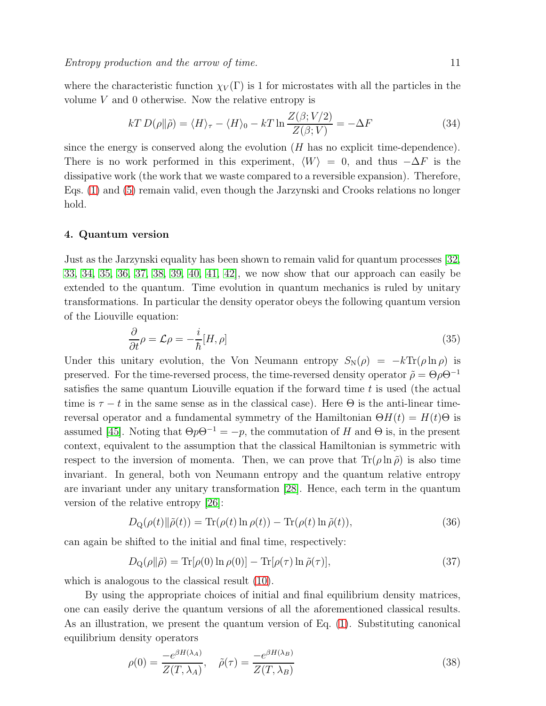where the characteristic function  $\chi_V(\Gamma)$  is 1 for microstates with all the particles in the volume V and 0 otherwise. Now the relative entropy is

$$
kT D(\rho || \tilde{\rho}) = \langle H \rangle_{\tau} - \langle H \rangle_{0} - kT \ln \frac{Z(\beta; V/2)}{Z(\beta; V)} = -\Delta F
$$
\n(34)

since the energy is conserved along the evolution  $(H$  has no explicit time-dependence). There is no work performed in this experiment,  $\langle W \rangle = 0$ , and thus  $-\Delta F$  is the dissipative work (the work that we waste compared to a reversible expansion). Therefore, Eqs. [\(1\)](#page-1-0) and [\(5\)](#page-2-0) remain valid, even though the Jarzynski and Crooks relations no longer hold.

# <span id="page-10-0"></span>4. Quantum version

Just as the Jarzynski equality has been shown to remain valid for quantum processes [\[32,](#page-14-13) [33,](#page-14-14) [34,](#page-14-15) [35,](#page-14-16) [36,](#page-14-17) [37,](#page-14-18) [38,](#page-14-19) [39,](#page-14-20) [40,](#page-14-21) [41,](#page-14-22) [42\]](#page-14-23), we now show that our approach can easily be extended to the quantum. Time evolution in quantum mechanics is ruled by unitary transformations. In particular the density operator obeys the following quantum version of the Liouville equation:

$$
\frac{\partial}{\partial t}\rho = \mathcal{L}\rho = -\frac{i}{\hbar}[H,\rho]
$$
\n(35)

Under this unitary evolution, the Von Neumann entropy  $S_N(\rho) = -k \text{Tr}(\rho \ln \rho)$  is preserved. For the time-reversed process, the time-reversed density operator  $\tilde{\rho} = \Theta \rho \Theta^{-1}$ satisfies the same quantum Liouville equation if the forward time  $t$  is used (the actual time is  $\tau - t$  in the same sense as in the classical case). Here  $\Theta$  is the anti-linear timereversal operator and a fundamental symmetry of the Hamiltonian  $\Theta H(t) = H(t)\Theta$  is assumed [\[45\]](#page-14-24). Noting that  $\Theta p \Theta^{-1} = -p$ , the commutation of H and  $\Theta$  is, in the present context, equivalent to the assumption that the classical Hamiltonian is symmetric with respect to the inversion of momenta. Then, we can prove that  $\text{Tr}(\rho \ln \tilde{\rho})$  is also time invariant. In general, both von Neumann entropy and the quantum relative entropy are invariant under any unitary transformation [\[28\]](#page-14-9). Hence, each term in the quantum version of the relative entropy [\[26\]](#page-14-7):

$$
D_{Q}(\rho(t)||\tilde{\rho}(t)) = \text{Tr}(\rho(t)\ln\rho(t)) - \text{Tr}(\rho(t)\ln\tilde{\rho}(t)),
$$
\n(36)

can again be shifted to the initial and final time, respectively:

<span id="page-10-1"></span>
$$
D_{\mathcal{Q}}(\rho \| \tilde{\rho}) = \text{Tr}[\rho(0) \ln \rho(0)] - \text{Tr}[\rho(\tau) \ln \tilde{\rho}(\tau)],\tag{37}
$$

which is analogous to the classical result [\(10\)](#page-4-2).

By using the appropriate choices of initial and final equilibrium density matrices, one can easily derive the quantum versions of all the aforementioned classical results. As an illustration, we present the quantum version of Eq. [\(1\)](#page-1-0). Substituting canonical equilibrium density operators

$$
\rho(0) = \frac{-e^{\beta H(\lambda_A)}}{Z(T, \lambda_A)}, \quad \tilde{\rho}(\tau) = \frac{-e^{\beta H(\lambda_B)}}{Z(T, \lambda_B)}
$$
\n(38)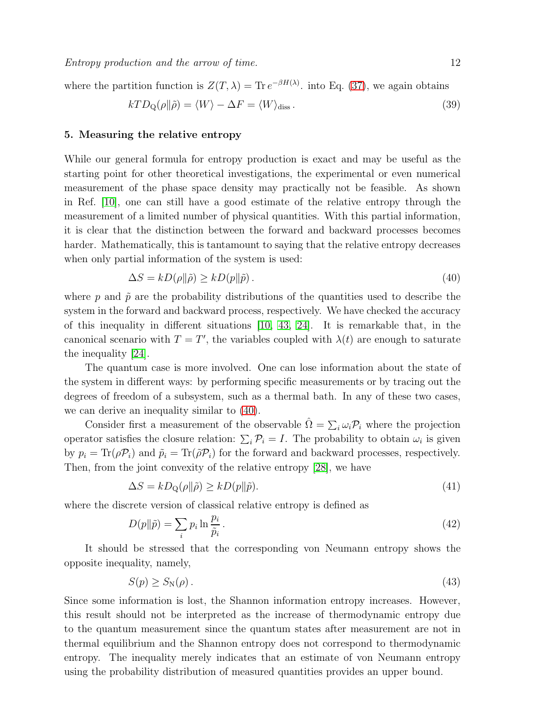where the partition function is  $Z(T, \lambda) = \text{Tr} e^{-\beta H(\lambda)}$  into Eq. [\(37\)](#page-10-1), we again obtains

$$
kTD_Q(\rho||\tilde{\rho}) = \langle W \rangle - \Delta F = \langle W \rangle_{\text{diss}}.
$$
\n(39)

#### 5. Measuring the relative entropy

While our general formula for entropy production is exact and may be useful as the starting point for other theoretical investigations, the experimental or even numerical measurement of the phase space density may practically not be feasible. As shown in Ref. [\[10\]](#page-13-9), one can still have a good estimate of the relative entropy through the measurement of a limited number of physical quantities. With this partial information, it is clear that the distinction between the forward and backward processes becomes harder. Mathematically, this is tantamount to saying that the relative entropy decreases when only partial information of the system is used:

<span id="page-11-0"></span>
$$
\Delta S = k D(\rho \| \tilde{\rho}) \ge k D(p \| \tilde{p}). \tag{40}
$$

where p and  $\tilde{p}$  are the probability distributions of the quantities used to describe the system in the forward and backward process, respectively. We have checked the accuracy of this inequality in different situations [\[10,](#page-13-9) [43,](#page-14-25) [24\]](#page-14-5). It is remarkable that, in the canonical scenario with  $T = T'$ , the variables coupled with  $\lambda(t)$  are enough to saturate the inequality [\[24\]](#page-14-5).

The quantum case is more involved. One can lose information about the state of the system in different ways: by performing specific measurements or by tracing out the degrees of freedom of a subsystem, such as a thermal bath. In any of these two cases, we can derive an inequality similar to [\(40\)](#page-11-0).

Consider first a measurement of the observable  $\hat{\Omega} = \sum_i \omega_i \mathcal{P}_i$  where the projection operator satisfies the closure relation:  $\sum_i \mathcal{P}_i = I$ . The probability to obtain  $\omega_i$  is given by  $p_i = \text{Tr}(\rho \mathcal{P}_i)$  and  $\tilde{p}_i = \text{Tr}(\tilde{\rho} \mathcal{P}_i)$  for the forward and backward processes, respectively. Then, from the joint convexity of the relative entropy [\[28\]](#page-14-9), we have

$$
\Delta S = k D_{\mathcal{Q}}(\rho \| \tilde{\rho}) \ge k D(p \| \tilde{p}).\tag{41}
$$

where the discrete version of classical relative entropy is defined as

$$
D(p||\tilde{p}) = \sum_{i} p_i \ln \frac{p_i}{\tilde{p}_i}.
$$
\n(42)

It should be stressed that the corresponding von Neumann entropy shows the opposite inequality, namely,

$$
S(p) \ge S_N(\rho). \tag{43}
$$

Since some information is lost, the Shannon information entropy increases. However, this result should not be interpreted as the increase of thermodynamic entropy due to the quantum measurement since the quantum states after measurement are not in thermal equilibrium and the Shannon entropy does not correspond to thermodynamic entropy. The inequality merely indicates that an estimate of von Neumann entropy using the probability distribution of measured quantities provides an upper bound.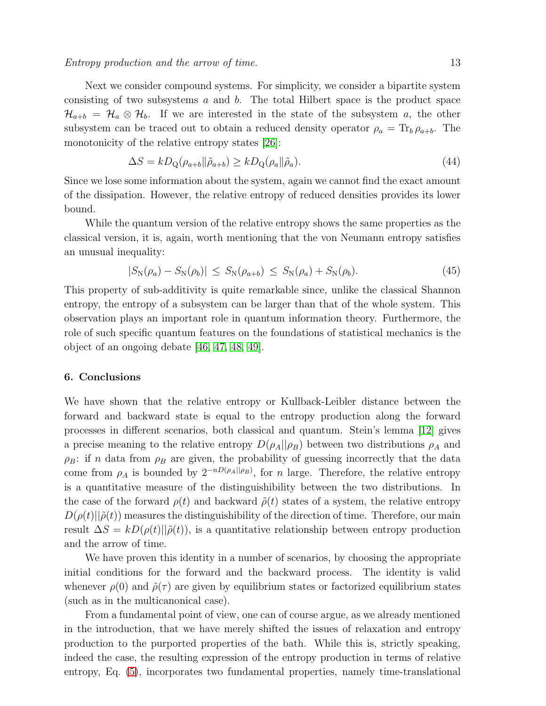#### Entropy production and the arrow of time. 13

Next we consider compound systems. For simplicity, we consider a bipartite system consisting of two subsystems  $a$  and  $b$ . The total Hilbert space is the product space  $\mathcal{H}_{a+b} = \mathcal{H}_a \otimes \mathcal{H}_b$ . If we are interested in the state of the subsystem a, the other subsystem can be traced out to obtain a reduced density operator  $\rho_a = \text{Tr}_b \rho_{a+b}$ . The monotonicity of the relative entropy states  $|26|$ :

$$
\Delta S = k D_{\mathcal{Q}}(\rho_{a+b} || \tilde{\rho}_{a+b}) \ge k D_{\mathcal{Q}}(\rho_a || \tilde{\rho}_a). \tag{44}
$$

Since we lose some information about the system, again we cannot find the exact amount of the dissipation. However, the relative entropy of reduced densities provides its lower bound.

While the quantum version of the relative entropy shows the same properties as the classical version, it is, again, worth mentioning that the von Neumann entropy satisfies an unusual inequality:

$$
|S_{\rm N}(\rho_a) - S_{\rm N}(\rho_b)| \leq S_{\rm N}(\rho_{a+b}) \leq S_{\rm N}(\rho_a) + S_{\rm N}(\rho_b). \tag{45}
$$

This property of sub-additivity is quite remarkable since, unlike the classical Shannon entropy, the entropy of a subsystem can be larger than that of the whole system. This observation plays an important role in quantum information theory. Furthermore, the role of such specific quantum features on the foundations of statistical mechanics is the object of an ongoing debate [\[46,](#page-14-26) [47,](#page-14-27) [48,](#page-14-28) [49\]](#page-14-29).

# 6. Conclusions

We have shown that the relative entropy or Kullback-Leibler distance between the forward and backward state is equal to the entropy production along the forward processes in different scenarios, both classical and quantum. Stein's lemma [\[12\]](#page-13-11) gives a precise meaning to the relative entropy  $D(\rho_A||\rho_B)$  between two distributions  $\rho_A$  and  $\rho_B$ : if n data from  $\rho_B$  are given, the probability of guessing incorrectly that the data come from  $\rho_A$  is bounded by  $2^{-n(D(\rho_A||\rho_B))}$ , for n large. Therefore, the relative entropy is a quantitative measure of the distinguishibility between the two distributions. In the case of the forward  $\rho(t)$  and backward  $\tilde{\rho}(t)$  states of a system, the relative entropy  $D(\rho(t)||\tilde{\rho}(t))$  measures the distinguishibility of the direction of time. Therefore, our main result  $\Delta S = kD(\rho(t)||\tilde{\rho}(t))$ , is a quantitative relationship between entropy production and the arrow of time.

We have proven this identity in a number of scenarios, by choosing the appropriate initial conditions for the forward and the backward process. The identity is valid whenever  $\rho(0)$  and  $\tilde{\rho}(\tau)$  are given by equilibrium states or factorized equilibrium states (such as in the multicanonical case).

From a fundamental point of view, one can of course argue, as we already mentioned in the introduction, that we have merely shifted the issues of relaxation and entropy production to the purported properties of the bath. While this is, strictly speaking, indeed the case, the resulting expression of the entropy production in terms of relative entropy, Eq. [\(5\)](#page-2-0), incorporates two fundamental properties, namely time-translational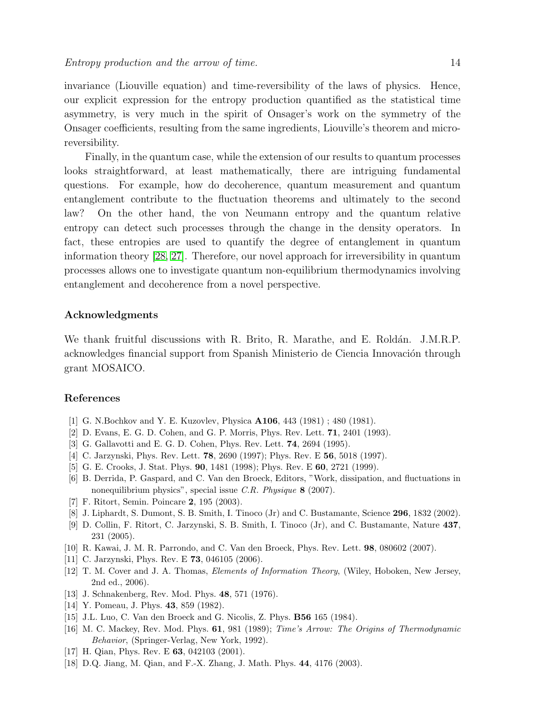invariance (Liouville equation) and time-reversibility of the laws of physics. Hence, our explicit expression for the entropy production quantified as the statistical time asymmetry, is very much in the spirit of Onsager's work on the symmetry of the Onsager coefficients, resulting from the same ingredients, Liouville's theorem and microreversibility.

Finally, in the quantum case, while the extension of our results to quantum processes looks straightforward, at least mathematically, there are intriguing fundamental questions. For example, how do decoherence, quantum measurement and quantum entanglement contribute to the fluctuation theorems and ultimately to the second law? On the other hand, the von Neumann entropy and the quantum relative entropy can detect such processes through the change in the density operators. In fact, these entropies are used to quantify the degree of entanglement in quantum information theory [\[28,](#page-14-9) [27\]](#page-14-8). Therefore, our novel approach for irreversibility in quantum processes allows one to investigate quantum non-equilibrium thermodynamics involving entanglement and decoherence from a novel perspective.

# Acknowledgments

We thank fruitful discussions with R. Brito, R. Marathe, and E. Roldán. J.M.R.P. acknowledges financial support from Spanish Ministerio de Ciencia Innovación through grant MOSAICO.

## <span id="page-13-0"></span>References

- <span id="page-13-1"></span>[1] G. N.Bochkov and Y. E. Kuzovlev, Physica A106, 443 (1981) ; 480 (1981).
- <span id="page-13-2"></span>[2] D. Evans, E. G. D. Cohen, and G. P. Morris, Phys. Rev. Lett. 71, 2401 (1993).
- <span id="page-13-3"></span>[3] G. Gallavotti and E. G. D. Cohen, Phys. Rev. Lett. 74, 2694 (1995).
- <span id="page-13-4"></span>[4] C. Jarzynski, Phys. Rev. Lett. 78, 2690 (1997); Phys. Rev. E 56, 5018 (1997).
- <span id="page-13-5"></span>[5] G. E. Crooks, J. Stat. Phys. 90, 1481 (1998); Phys. Rev. E 60, 2721 (1999).
- [6] B. Derrida, P. Gaspard, and C. Van den Broeck, Editors, "Work, dissipation, and fluctuations in nonequilibrium physics", special issue *C.R. Physique* 8 (2007).
- <span id="page-13-7"></span><span id="page-13-6"></span>[7] F. Ritort, Semin. Poincare 2, 195 (2003).
- <span id="page-13-8"></span>[8] J. Liphardt, S. Dumont, S. B. Smith, I. Tinoco (Jr) and C. Bustamante, Science 296, 1832 (2002).
- [9] D. Collin, F. Ritort, C. Jarzynski, S. B. Smith, I. Tinoco (Jr), and C. Bustamante, Nature 437, 231 (2005).
- <span id="page-13-10"></span><span id="page-13-9"></span>[10] R. Kawai, J. M. R. Parrondo, and C. Van den Broeck, Phys. Rev. Lett. 98, 080602 (2007).
- <span id="page-13-11"></span>[11] C. Jarzynski, Phys. Rev. E **73**, 046105 (2006).
- [12] T. M. Cover and J. A. Thomas, *Elements of Information Theory*, (Wiley, Hoboken, New Jersey, 2nd ed., 2006).
- <span id="page-13-13"></span><span id="page-13-12"></span>[13] J. Schnakenberg, Rev. Mod. Phys. **48**, 571 (1976).
- <span id="page-13-14"></span>[14] Y. Pomeau, J. Phys. **43**, 859 (1982).
- <span id="page-13-15"></span>[15] J.L. Luo, C. Van den Broeck and G. Nicolis, Z. Phys. B56 165 (1984).
- [16] M. C. Mackey, Rev. Mod. Phys. 61, 981 (1989); *Time's Arrow: The Origins of Thermodynamic Behavior*, (Springer-Verlag, New York, 1992).
- <span id="page-13-17"></span><span id="page-13-16"></span>[17] H. Qian, Phys. Rev. E **63**, 042103 (2001).
- [18] D.Q. Jiang, M. Qian, and F.-X. Zhang, J. Math. Phys. 44, 4176 (2003).